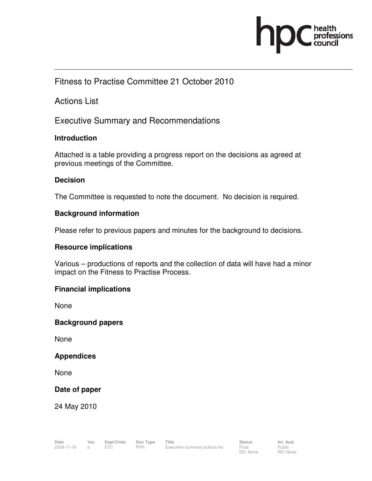

### Fitness to Practise Committee 21 October 2010

Actions List

Executive Summary and Recommendations

#### **Introduction**

Attached is a table providing a progress report on the decisions as agreed at previous meetings of the Committee.

#### **Decision**

The Committee is requested to note the document. No decision is required.

#### **Background information**

Please refer to previous papers and minutes for the background to decisions.

#### **Resource implications**

Various – productions of reports and the collection of data will have had a minor impact on the Fitness to Practise Process.

#### **Financial implications**

None

#### **Background papers**

None

#### **Appendices**

None

#### **Date of paper**

24 May 2010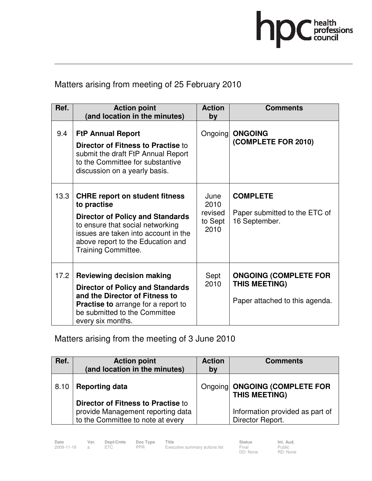

## Matters arising from meeting of 25 February 2010

| Ref. | <b>Action point</b><br>(and location in the minutes)                                                                                                                                                                                           | <b>Action</b><br>by                        | <b>Comments</b>                                                                 |
|------|------------------------------------------------------------------------------------------------------------------------------------------------------------------------------------------------------------------------------------------------|--------------------------------------------|---------------------------------------------------------------------------------|
| 9.4  | <b>FtP Annual Report</b><br><b>Director of Fitness to Practise to</b><br>submit the draft FtP Annual Report<br>to the Committee for substantive<br>discussion on a yearly basis.                                                               |                                            | Ongoing ONGOING<br>(COMPLETE FOR 2010)                                          |
| 13.3 | <b>CHRE report on student fitness</b><br>to practise<br><b>Director of Policy and Standards</b><br>to ensure that social networking<br>issues are taken into account in the<br>above report to the Education and<br><b>Training Committee.</b> | June<br>2010<br>revised<br>to Sept<br>2010 | <b>COMPLETE</b><br>Paper submitted to the ETC of<br>16 September.               |
| 17.2 | <b>Reviewing decision making</b><br><b>Director of Policy and Standards</b><br>and the Director of Fitness to<br><b>Practise to</b> arrange for a report to<br>be submitted to the Committee<br>every six months.                              | Sept<br>2010                               | <b>ONGOING (COMPLETE FOR</b><br>THIS MEETING)<br>Paper attached to this agenda. |

# Matters arising from the meeting of 3 June 2010

| Ref. | <b>Action point</b><br>(and location in the minutes)                                                         | <b>Action</b><br>by | <b>Comments</b>                                       |
|------|--------------------------------------------------------------------------------------------------------------|---------------------|-------------------------------------------------------|
| 8.10 | <b>Reporting data</b>                                                                                        |                     | Ongoing ONGOING (COMPLETE FOR<br><b>THIS MEETING)</b> |
|      | Director of Fitness to Practise to<br>provide Management reporting data<br>to the Committee to note at every |                     | Information provided as part of<br>Director Report.   |

Public RD: None